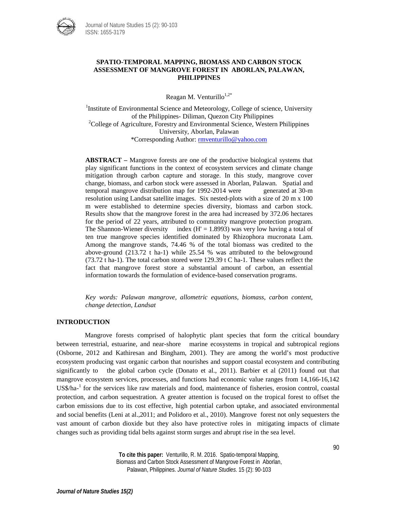

# **SPATIO-TEMPORAL MAPPING, BIOMASS AND CARBON STOCK ASSESSMENT OF MANGROVE FOREST IN ABORLAN, PALAWAN, PHILIPPINES**

Reagan M. Venturillo $1,2^*$ 

<sup>1</sup>Institute of Environmental Science and Meteorology, College of science, University of the Philippines- Diliman, Quezon City Philippines <sup>2</sup>  ${}^{2}$ College of Agriculture, Forestry and Environmental Science, Western Philippines University, Aborlan, Palawan \*Corresponding Author: [rmventurillo@yahoo.com](mailto:rmventurillo@yahoo.com)

**ABSTRACT –** Mangrove forests are one of the productive biological systems that play significant functions in the context of ecosystem services and climate change mitigation through carbon capture and storage. In this study, mangrove cover change, biomass, and carbon stock were assessed in Aborlan, Palawan. Spatial and temporal mangrove distribution map for 1992-2014 were generated at 30-m resolution using Landsat satellite images. Six nested-plots with a size of 20 m x 100 m were established to determine species diversity, biomass and carbon stock. Results show that the mangrove forest in the area had increased by 372.06 hectares for the period of 22 years, attributed to community mangrove protection program. The Shannon-Wiener diversity index  $(H' = 1.8993)$  was very low having a total of ten true mangrove species identified dominated by Rhizophora mucronata Lam. Among the mangrove stands, 74.46 % of the total biomass was credited to the above-ground (213.72 t ha-1) while 25.54 % was attributed to the belowground (73.72 t ha-1). The total carbon stored were 129.39 t C ha-1. These values reflect the fact that mangrove forest store a substantial amount of carbon, an essential information towards the formulation of evidence-based conservation programs.

*Key words: Palawan mangrove, allometric equations, biomass, carbon content, change detection, Landsat*

# **INTRODUCTION**

Mangrove forests comprised of halophytic plant species that form the critical boundary between terrestrial, estuarine, and near-shore marine ecosystems in tropical and subtropical regions (Osborne, 2012 and Kathiresan and Bingham, 2001). They are among the world's most productive ecosystem producing vast organic carbon that nourishes and support coastal ecosystem and contributing significantly to the global carbon cycle (Donato et al., 2011). Barbier et al (2011) found out that mangrove ecosystem services, processes, and functions had economic value ranges from 14,166-16,142 US\$/ha-<sup>1</sup> for the services like raw materials and food, maintenance of fisheries, erosion control, coastal protection, and carbon sequestration. A greater attention is focused on the tropical forest to offset the carbon emissions due to its cost effective, high potential carbon uptake, and associated environmental and social benefits (Leni at al.,2011; and Polidoro et al., 2010). Mangrove forest not only sequesters the vast amount of carbon dioxide but they also have protective roles in mitigating impacts of climate changes such as providing tidal belts against storm surges and abrupt rise in the sea level.

> **To cite this paper:** Venturillo, R. M. 2016. Spatio-temporal Mapping, Biomass and Carbon Stock Assessment of Mangrove Forest in Aborlan, Palawan, Philippines. *Journal of Nature Studies*. 15 (2): 90-103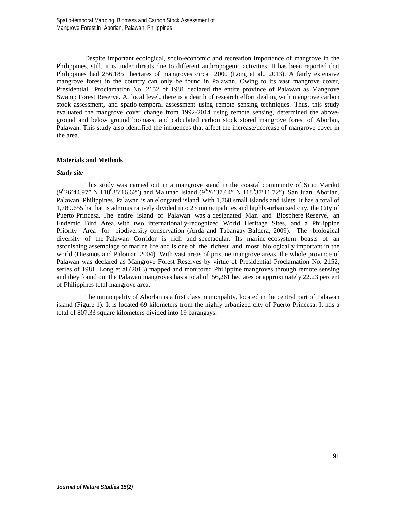Despite important ecological, socio-economic and recreation importance of mangrove in the Philippines, still, it is under threats due to different anthropogenic activities. It has been reported that Philippines had 256,185 hectares of mangroves circa 2000 (Long et al., 2013). A fairly extensive mangrove forest in the country can only be found in Palawan. Owing to its vast mangrove cover, Presidential Proclamation No. 2152 of 1981 declared the entire province of Palawan as Mangrove Swamp Forest Reserve. At local level, there is a dearth of research effort dealing with mangrove carbon stock assessment, and spatio-temporal assessment using remote sensing techniques. Thus, this study evaluated the mangrove cover change from 1992-2014 using remote sensing, determined the aboveground and below ground biomass, and calculated carbon stock stored mangrove forest of Aborlan, Palawan. This study also identified the influences that affect the increase/decrease of mangrove cover in the area.

# **Materials and Methods**

### *Study site*

This study was carried out in a mangrove stand in the coastal community of Sitio Marikit  $(9^026'44.97''$  N  $118^035'16.62'')$  and Malunao Island  $(9^026'37.64''$  N  $118^037'11.72'')$ , San Juan, Aborlan, Palawan, Philippines. Palawan is an elongated island, with 1,768 small islands and islets. It has a total of 1,789.655 ha that is administratively divided into 23 municipalities and highly-urbanized city, the City of Puerto Princesa. The entire island of Palawan was a designated Man and Biosphere Reserve, an Endemic Bird Area, with two internationally-recognized World Heritage Sites, and a Philippine Priority Area for biodiversity conservation (Anda and Tabangay-Baldera, 2009). The biological diversity of the Palawan Corridor is rich and spectacular. Its marine ecosystem boasts of an astonishing assemblage of marine life and is one of the richest and most biologically important in the world (Diesmos and Palomar, 2004). With vast areas of pristine mangrove areas, the whole province of Palawan was declared as Mangrove Forest Reserves by virtue of Presidential Proclamation No. 2152, series of 1981. Long et al.(2013) mapped and monitored Philippine mangroves through remote sensing and they found out the Palawan mangroves has a total of 56,261 hectares or approximately 22.23 percent of Philippines total mangrove area.

The municipality of Aborlan is a first class municipality, located in the central part of Palawan island (Figure 1). It is located 69 kilometers from the highly urbanized city of Puerto Princesa. It has a total of 807.33 square kilometers divided into 19 barangays.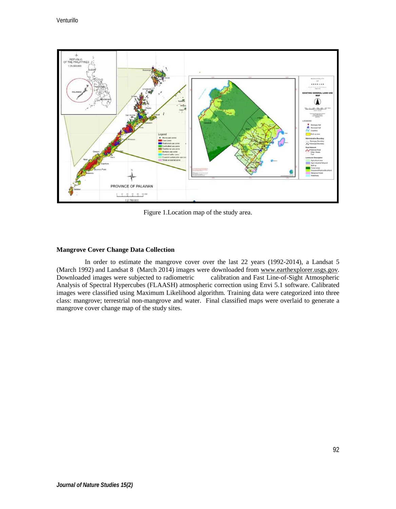

Figure 1.Location map of the study area.

# **Mangrove Cover Change Data Collection**

In order to estimate the mangrove cover over the last 22 years (1992-2014), a Landsat 5 (March 1992) and Landsat 8 (March 2014) images were downloaded from [www.earthexplorer.usgs.gov.](http://www.earthexplorer.usgs.gov/)<br>Downloaded images were subjected to radiometric calibration and Fast Line-of-Sight Atmospheric Downloaded images were subjected to radiometric Analysis of Spectral Hypercubes (FLAASH) atmospheric correction using Envi 5.1 software. Calibrated images were classified using Maximum Likelihood algorithm. Training data were categorized into three class: mangrove; terrestrial non-mangrove and water. Final classified maps were overlaid to generate a mangrove cover change map of the study sites.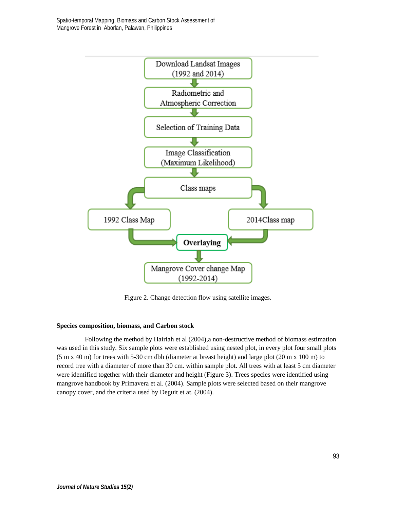Spatio-temporal Mapping, Biomass and Carbon Stock Assessment of Mangrove Forest in Aborlan, Palawan, Philippines



Figure 2. Change detection flow using satellite images.

# **Species composition, biomass, and Carbon stock**

Following the method by Hairiah et al (2004),a non-destructive method of biomass estimation was used in this study. Six sample plots were established using nested plot, in every plot four small plots (5 m x 40 m) for trees with 5-30 cm dbh (diameter at breast height) and large plot (20 m x 100 m) to record tree with a diameter of more than 30 cm. within sample plot. All trees with at least 5 cm diameter were identified together with their diameter and height (Figure 3). Trees species were identified using mangrove handbook by Primavera et al. (2004). Sample plots were selected based on their mangrove canopy cover, and the criteria used by Deguit et at. (2004).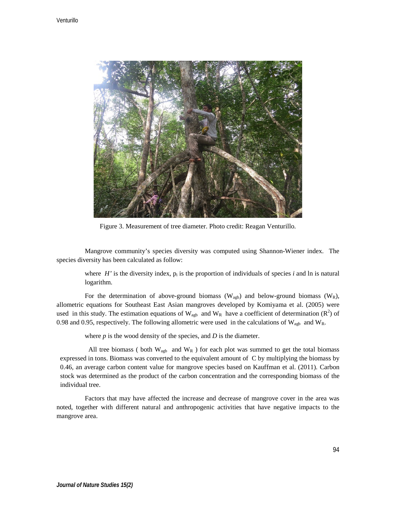

Figure 3. Measurement of tree diameter. Photo credit: Reagan Venturillo.

Mangrove community's species diversity was computed using Shannon-Wiener index. The species diversity has been calculated as follow:

where  $H'$  is the diversity index,  $p_i$  is the proportion of individuals of species *i* and ln is natural logarithm.

For the determination of above-ground biomass ( $W_{\text{aab}}$ ) and below-ground biomass ( $W_R$ ), allometric equations for Southeast East Asian mangroves developed by Komiyama et al. (2005) were used in this study. The estimation equations of  $W_{\text{agb}}$  and  $W_R$  have a coefficient of determination ( $R^2$ ) of 0.98 and 0.95, respectively. The following allometric were used in the calculations of  $W_{\text{a}ab}$  and  $W_{R}$ .

where *p* is the wood density of the species, and *D* is the diameter.

All tree biomass ( both  $W_{\text{agb}}$  and  $W_{R}$  ) for each plot was summed to get the total biomass expressed in tons. Biomass was converted to the equivalent amount of C by multiplying the biomass by 0.46, an average carbon content value for mangrove species based on Kauffman et al. (2011). Carbon stock was determined as the product of the carbon concentration and the corresponding biomass of the individual tree.

Factors that may have affected the increase and decrease of mangrove cover in the area was noted, together with different natural and anthropogenic activities that have negative impacts to the mangrove area.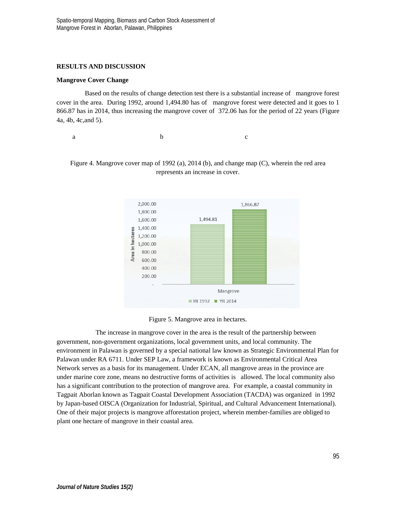# **RESULTS AND DISCUSSION**

### **Mangrove Cover Change**

Based on the results of change detection test there is a substantial increase of mangrove forest cover in the area. During 1992, around 1,494.80 has of mangrove forest were detected and it goes to 1 866.87 has in 2014, thus increasing the mangrove cover of 372.06 has for the period of 22 years (Figure 4a, 4b, 4c,and 5).

a b c







The increase in mangrove cover in the area is the result of the partnership between government, non-government organizations, local government units, and local community. The environment in Palawan is governed by a special national law known as Strategic Environmental Plan for Palawan under RA 6711. Under SEP Law, a framework is known as Environmental Critical Area Network serves as a basis for its management. Under ECAN, all mangrove areas in the province are under marine core zone, means no destructive forms of activities is allowed. The local community also has a significant contribution to the protection of mangrove area. For example, a coastal community in Tagpait Aborlan known as Tagpait Coastal Development Association (TACDA) was organized in 1992 by Japan-based OISCA (Organization for Industrial, Spiritual, and Cultural Advancement International). One of their major projects is mangrove afforestation project, wherein member-families are obliged to plant one hectare of mangrove in their coastal area.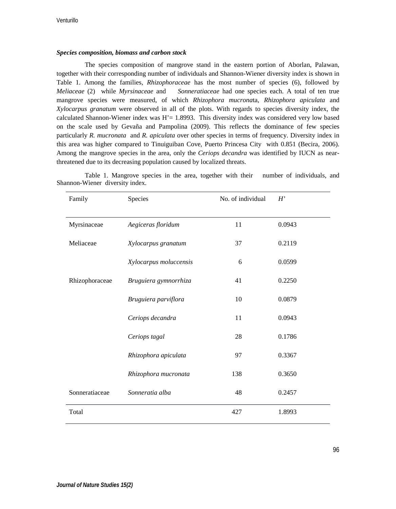# *Species composition, biomass and carbon stock*

The species composition of mangrove stand in the eastern portion of Aborlan, Palawan, together with their corresponding number of individuals and Shannon-Wiener diversity index is shown in Table 1. Among the families, *Rhizophoraceae* has the most number of species (6), followed by *Meliaceae* (2) while *Myrsinaceae* and *Sonneratiaceae* had one species each. A total of ten true mangrove species were measured, of which *Rhizophora mucrona*ta, *Rhizophora apiculata* and *Xylocarpus granatum* were observed in all of the plots. With regards to species diversity index, the calculated Shannon-Wiener index was  $H' = 1.8993$ . This diversity index was considered very low based on the scale used by Gevaña and Pampolina (2009). This reflects the dominance of few species particularly *R. mucronata* and *R. apiculata* over other species in terms of frequency. Diversity index in this area was higher compared to Tinuiguiban Cove, Puerto Princesa City with 0.851 (Becira, 2006). Among the mangrove species in the area, only the *Ceriops decandra* was identified by IUCN as nearthreatened due to its decreasing population caused by localized threats.

| Family         | Species                | No. of individual | H'     |
|----------------|------------------------|-------------------|--------|
|                |                        |                   |        |
| Myrsinaceae    | Aegiceras floridum     | 11                | 0.0943 |
| Meliaceae      | Xylocarpus granatum    | 37                | 0.2119 |
|                | Xylocarpus moluccensis | 6                 | 0.0599 |
| Rhizophoraceae | Bruguiera gymnorrhiza  | 41                | 0.2250 |
|                | Bruguiera parviflora   | 10                | 0.0879 |
|                | Ceriops decandra       | 11                | 0.0943 |
|                | Ceriops tagal          | 28                | 0.1786 |
|                | Rhizophora apiculata   | 97                | 0.3367 |
|                | Rhizophora mucronata   | 138               | 0.3650 |
| Sonneratiaceae | Sonneratia alba        | 48                | 0.2457 |
| Total          |                        | 427               | 1.8993 |

Table 1. Mangrove species in the area, together with their number of individuals, and Shannon-Wiener diversity index.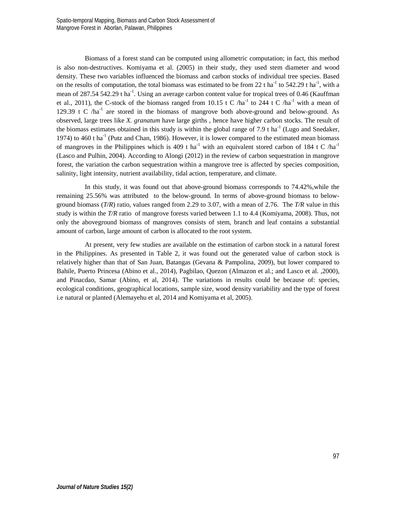Biomass of a forest stand can be computed using allometric computation; in fact, this method is also non-destructives. Komiyama et al. (2005) in their study, they used stem diameter and wood density. These two variables influenced the biomass and carbon stocks of individual tree species. Based on the results of computation, the total biomass was estimated to be from 22 t ha<sup>-1</sup> to 542.29 t ha<sup>-1</sup>, with a mean of 287.54 542.29 t ha<sup>-1</sup>. Using an average carbon content value for tropical trees of 0.46 (Kauffman et al., 2011), the C-stock of the biomass ranged from 10.15 t C /ha<sup>-1</sup> to 244 t C /ha<sup>-1</sup> with a mean of 129.39 t C  $/ha^{-1}$  are stored in the biomass of mangrove both above-ground and below-ground. As observed, large trees like *X. granatum* have large girths , hence have higher carbon stocks. The result of the biomass estimates obtained in this study is within the global range of 7.9 t ha<sup>-1</sup> (Lugo and Snedaker, 1974) to 460 t ha<sup>-1</sup> (Putz and Chan, 1986). However, it is lower compared to the estimated mean biomass of mangroves in the Philippines which is 409 t ha<sup>-1</sup> with an equivalent stored carbon of 184 t C /ha<sup>-1</sup> (Lasco and Pulhin, 2004). According to Alongi (2012) in the review of carbon sequestration in mangrove forest, the variation the carbon sequestration within a mangrove tree is affected by species composition, salinity, light intensity, nutrient availability, tidal action, temperature, and climate.

In this study, it was found out that above-ground biomass corresponds to 74.42%,while the remaining 25.56% was attributed to the below-ground. In terms of above-ground biomass to belowground biomass (*T/R*) ratio, values ranged from 2.29 to 3.07, with a mean of 2.76. The *T/R* value in this study is within the *T/R* ratio of mangrove forests varied between 1.1 to 4.4 (Komiyama, 2008). Thus, not only the aboveground biomass of mangroves consists of stem, branch and leaf contains a substantial amount of carbon, large amount of carbon is allocated to the root system.

At present, very few studies are available on the estimation of carbon stock in a natural forest in the Philippines. As presented in Table 2, it was found out the generated value of carbon stock is relatively higher than that of San Juan, Batangas (Gevana & Pampolina, 2009), but lower compared to Bahile, Puerto Princesa (Abino et al., 2014), Pagbilao, Quezon (Almazon et al.; and Lasco et al. ,2000), and Pinacdao, Samar (Abino, et al, 2014). The variations in results could be because of: species, ecological conditions, geographical locations, sample size, wood density variability and the type of forest i.e natural or planted (Alemayehu et al, 2014 and Komiyama et al, 2005).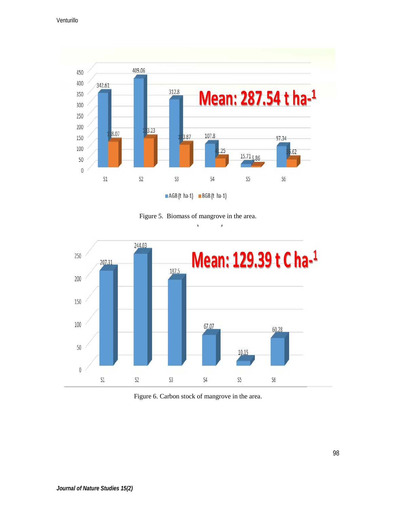

Figure 5. Biomass of mangrove in the area.

 $\mathbf{r}$  $\mathbf{r}$ 



Figure 6. Carbon stock of mangrove in the area.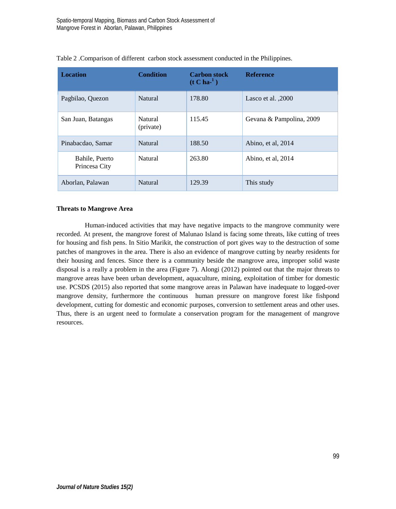| <b>Location</b>                 | <b>Condition</b>     | <b>Carbon stock</b><br>$(t C ha-1)$ | <b>Reference</b>         |
|---------------------------------|----------------------|-------------------------------------|--------------------------|
| Pagbilao, Quezon                | Natural              | 178.80                              | Lasco et al. 2000        |
| San Juan, Batangas              | Natural<br>(private) | 115.45                              | Gevana & Pampolina, 2009 |
| Pinabacdao, Samar               | Natural              | 188.50                              | Abino, et al, 2014       |
| Bahile, Puerto<br>Princesa City | Natural              | 263.80                              | Abino, et al, 2014       |
| Aborlan. Palawan                | Natural              | 129.39                              | This study               |

| Table 2 . Comparison of different carbon stock assessment conducted in the Philippines. |  |  |
|-----------------------------------------------------------------------------------------|--|--|
|-----------------------------------------------------------------------------------------|--|--|

# **Threats to Mangrove Area**

Human-induced activities that may have negative impacts to the mangrove community were recorded. At present, the mangrove forest of Malunao Island is facing some threats, like cutting of trees for housing and fish pens. In Sitio Marikit, the construction of port gives way to the destruction of some patches of mangroves in the area. There is also an evidence of mangrove cutting by nearby residents for their housing and fences. Since there is a community beside the mangrove area, improper solid waste disposal is a really a problem in the area (Figure 7). Alongi (2012) pointed out that the major threats to mangrove areas have been urban development, aquaculture, mining, exploitation of timber for domestic use. PCSDS (2015) also reported that some mangrove areas in Palawan have inadequate to logged-over mangrove density, furthermore the continuous human pressure on mangrove forest like fishpond development, cutting for domestic and economic purposes, conversion to settlement areas and other uses. Thus, there is an urgent need to formulate a conservation program for the management of mangrove resources.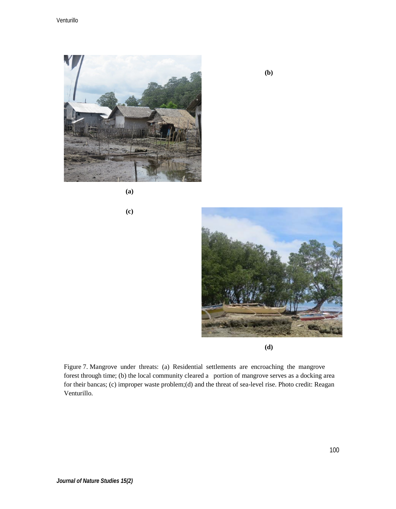

**(a)**

**(c)**



**(d)**

Figure 7. Mangrove under threats: (a) Residential settlements are encroaching the mangrove forest through time; (b) the local community cleared a portion of mangrove serves as a docking area for their bancas; (c) improper waste problem;(d) and the threat of sea-level rise. Photo credit: Reagan Venturillo.

**(b)**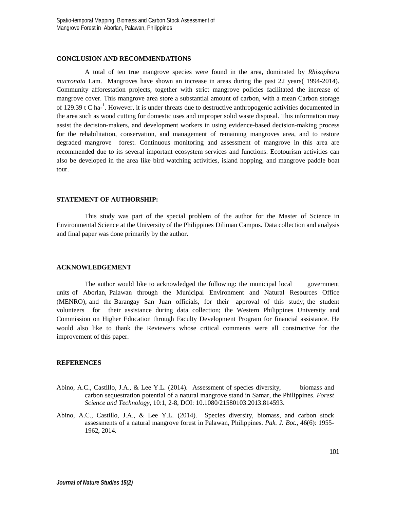#### **CONCLUSION AND RECOMMENDATIONS**

A total of ten true mangrove species were found in the area, dominated by *Rhizophora mucronata* Lam. Mangroves have shown an increase in areas during the past 22 years( 1994-2014). Community afforestation projects, together with strict mangrove policies facilitated the increase of mangrove cover. This mangrove area store a substantial amount of carbon, with a mean Carbon storage of 129.39 t C ha-<sup>1</sup>. However, it is under threats due to destructive anthropogenic activities documented in the area such as wood cutting for domestic uses and improper solid waste disposal. This information may assist the decision-makers, and development workers in using evidence-based decision-making process for the rehabilitation, conservation, and management of remaining mangroves area, and to restore degraded mangrove forest. Continuous monitoring and assessment of mangrove in this area are recommended due to its several important ecosystem services and functions. Ecotourism activities can also be developed in the area like bird watching activities, island hopping, and mangrove paddle boat tour.

### **STATEMENT OF AUTHORSHIP:**

This study was part of the special problem of the author for the Master of Science in Environmental Science at the University of the Philippines Diliman Campus. Data collection and analysis and final paper was done primarily by the author.

#### **ACKNOWLEDGEMENT**

The author would like to acknowledged the following: the municipal local government units of Aborlan, Palawan through the Municipal Environment and Natural Resources Office (MENRO), and the Barangay San Juan officials, for their approval of this study; the student volunteers for their assistance during data collection; the Western Philippines University and Commission on Higher Education through Faculty Development Program for financial assistance. He would also like to thank the Reviewers whose critical comments were all constructive for the improvement of this paper.

#### **REFERENCES**

- Abino, A.C., Castillo, J.A., & Lee Y.L. (2014). Assessment of species diversity, biomass and carbon sequestration potential of a natural mangrove stand in Samar, the Philippines. *Forest Science and Technology*, 10:1, 2-8, DOI: 10.1080/21580103.2013.814593.
- Abino, A.C., Castillo, J.A., & Lee Y.L. (2014). Species diversity, biomass, and carbon stock assessments of a natural mangrove forest in Palawan, Philippines. *Pak. J. Bot.*, 46(6): 1955- 1962, 2014.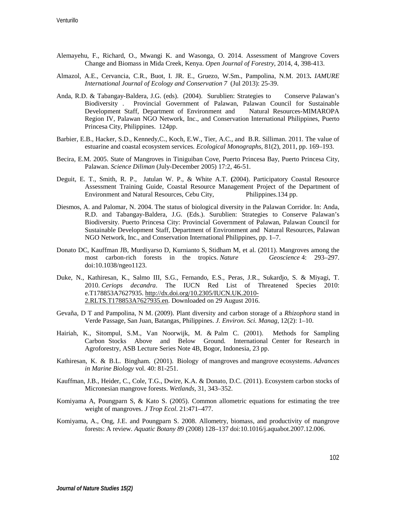- Alemayehu, F., Richard, O., Mwangi K. and Wasonga, O. 2014. Assessment of Mangrove Covers Change and Biomass in Mida Creek, Kenya. *Open Journal of Forestry*, 2014, 4, 398-413.
- Almazol, A.E., Cervancia, C.R., Buot, I. JR. E., Gruezo, W.Sm., Pampolina, N.M. 2013**.** *IAMURE International Journal of Ecology and Conservation 7* (Jul 2013): 25-39.
- Anda, R.D. & Tabangay-Baldera, J.G. (eds). (2004). Surublien: Strategies to Conserve Palawan's Biodiversity . Provincial Government of Palawan, Palawan Council for Sustainable Development Staff, Department of Environment and Natural Resources-MIMAROPA Region IV, Palawan NGO Network, Inc., and Conservation International Philippines, Puerto Princesa City, Philippines. 124pp.
- Barbier, E.B., Hacker, S.D., Kennedy,C., Koch, E.W., Tier, A.C., and B.R. Silliman. 2011. The value of estuarine and coastal ecosystem services*. Ecological Monographs*, 81(2), 2011, pp. 169–193.
- Becira, E.M. 2005. State of Mangroves in Tiniguiban Cove, Puerto Princesa Bay, Puerto Princesa City, Palawan. *Science Diliman* (July-December 2005) 17:2, 46-51.
- Deguit, E. T., Smith, R. P., Jatulan W. P., & White A.T. **(**2004). Participatory Coastal Resource Assessment Training Guide, Coastal Resource Management Project of the Department of Environment and Natural Resources, Cebu City, Philippines.134 pp.
- Diesmos, A. and Palomar, N. 2004. The status of biological diversity in the Palawan Corridor. In: Anda, R.D. and Tabangay-Baldera, J.G. (Eds.). Surublien: Strategies to Conserve Palawan's Biodiversity. Puerto Princesa City: Provincial Government of Palawan, Palawan Council for Sustainable Development Staff, Department of Environment and Natural Resources, Palawan NGO Network, Inc., and Conservation International Philippines, pp. 1–7.
- Donato DC, Kauffman JB, Murdiyarso D, Kurnianto S, Stidham M, et al. (2011). Mangroves among the most carbon-rich forests in the tropics. *Nature Geoscience* 4: 293–297. doi:10.1038/ngeo1123.
- Duke, N., Kathiresan, K., Salmo III, S.G., Fernando, E.S., Peras, J.R., Sukardjo, S. & Miyagi, T. 2010. *Ceriops decandra*. The IUCN Red List of Threatened Species 2010: e.T178853A7627935. [http://dx.doi.org/10.2305/IUCN.UK.2010-](http://dx.doi.org/10.2305/IUCN.UK.2010-2.RLTS.T178853A7627935.en) [2.RLTS.T178853A7627935.en.](http://dx.doi.org/10.2305/IUCN.UK.2010-2.RLTS.T178853A7627935.en) Downloaded on 29 August 2016.
- Gevaña, D T and Pampolina, N M. (2009). Plant diversity and carbon storage of a *Rhizophora* stand in Verde Passage, San Juan, Batangas, Philippines. *J. Environ. Sci. Manag*, 12(2): 1–10.
- Hairiah, K., Sitompul, S.M., Van Noorwijk, M. & Palm C. (2001). Methods for Sampling Carbon Stocks Above and Below Ground. International Center for Research in Agroforestry, ASB Lecture Series Note 4B, Bogor, Indonesia, 23 pp.
- Kathiresan, K. & B.L. Bingham. (2001). Biology of mangroves and mangrove ecosystems. *Advances in Marine Biology* vol. 40: 81-251.
- Kauffman, J.B., Heider, C., Cole, T.G., Dwire, K.A. & Donato, D.C. (2011). Ecosystem carbon stocks of Micronesian mangrove forests. *Wetlands*, 31, 343–352.
- Komiyama A, Poungparn S, & Kato S. (2005). Common allometric equations for estimating the tree weight of mangroves. *J Trop Ecol.* 21:471–477.
- Komiyama, A., Ong, J.E. and Poungparn S. 2008. Allometry, biomass, and productivity of mangrove forests: A review. *Aquatic Botany 89* (2008) 128–137 doi:10.1016/j.aquabot.2007.12.006.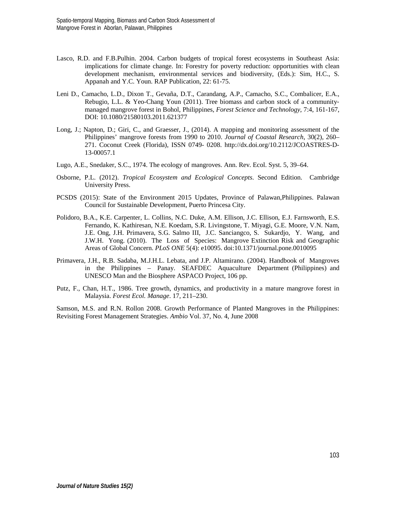- Lasco, R.D. and F.B.Pulhin. 2004. Carbon budgets of tropical forest ecosystems in Southeast Asia: implications for climate change. In: Forestry for poverty reduction: opportunities with clean development mechanism, environmental services and biodiversity, (Eds.): Sim, H.C., S. Appanah and Y.C. Youn. RAP Publication, 22: 61-75.
- Leni D., Camacho, L.D., Dixon T., Gevaña, D.T., Carandang, A.P., Camacho, S.C., Combalicer, E.A., Rebugio, L.L. & Yeo-Chang Youn (2011). Tree biomass and carbon stock of a community‐ managed mangrove forest in Bohol, Philippines, *Forest Science and Technology*, 7:4, 161-167, DOI: 10.1080/21580103.2011.621377
- Long, J.; Napton, D.; Giri, C., and Graesser, J., (2014). A mapping and monitoring assessment of the Philippines' mangrove forests from 1990 to 2010. *Journal of Coastal Research*, 30(2), 260– 271. Coconut Creek (Florida), ISSN 0749- 0208. http://dx.doi.org/10.2112/JCOASTRES-D-13-00057.1
- Lugo, A.E., Snedaker, S.C., 1974. The ecology of mangroves. Ann. Rev. Ecol. Syst. 5, 39–64.
- Osborne, P.L. (2012). *Tropical Ecosystem and Ecological Concepts*. Second Edition. Cambridge University Press.
- PCSDS (2015): State of the Environment 2015 Updates, Province of Palawan,Philippines. Palawan Council for Sustainable Development, Puerto Princesa City.
- Polidoro, B.A., K.E. Carpenter, L. Collins, N.C. Duke, A.M. Ellison, J.C. Ellison, E.J. Farnsworth, E.S. Fernando, K. Kathiresan, N.E. Koedam, S.R. Livingstone, T. Miyagi, G.E. Moore, V.N. Nam, J.E. Ong, J.H. Primavera, S.G. Salmo III, J.C. Sanciangco, S. Sukardjo, Y. Wang, and J.W.H. Yong. (2010). The Loss of Species: Mangrove Extinction Risk and Geographic Areas of Global Concern. *PLoS ONE* 5(4): e10095. doi:10.1371/journal.pone.0010095
- Primavera, J.H., R.B. Sadaba, M.J.H.L. Lebata, and J.P. Altamirano. (2004). Handbook of Mangroves in the Philippines – Panay. SEAFDEC Aquaculture Department (Philippines) and UNESCO Man and the Biosphere ASPACO Project, 106 pp.
- Putz, F., Chan, H.T., 1986. Tree growth, dynamics, and productivity in a mature mangrove forest in Malaysia. *Forest Ecol. Manage*. 17, 211–230.

Samson, M.S. and R.N. Rollon 2008. Growth Performance of Planted Mangroves in the Philippines: Revisiting Forest Management Strategies. *Ambio* Vol. 37, No. 4, June 2008